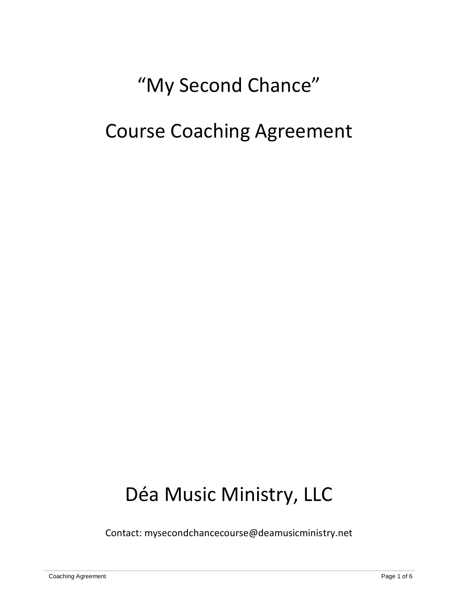# "My Second Chance"

## Course Coaching Agreement

# Déa Music Ministry, LLC

Contact: mysecondchancecourse@deamusicministry.net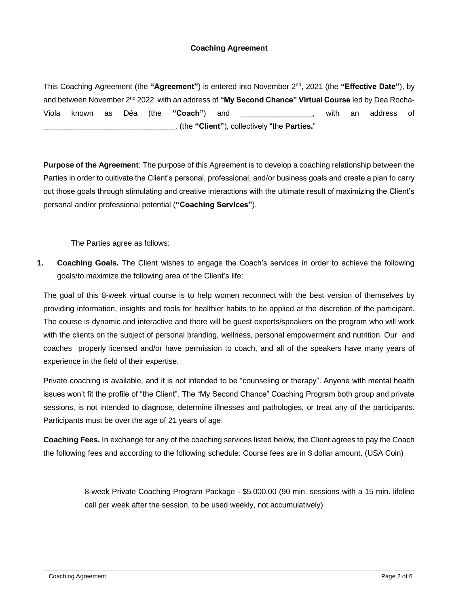#### **Coaching Agreement**

This Coaching Agreement (the **"Agreement"**) is entered into November 2nd, 2021 (the **"Effective Date"**), by and between November 2nd 2022 with an address of **"My Second Chance" Virtual Course** led by Dea Rocha-Viola known as Déa (the **"Coach"**) and \_\_\_\_\_\_\_\_\_\_\_\_\_\_\_\_\_, with an address of \_\_\_\_\_\_\_\_\_\_\_\_\_\_\_\_\_\_\_\_\_\_\_\_\_\_\_\_\_\_\_, (the **"Client"**), collectively "the **Parties.**"

**Purpose of the Agreement**: The purpose of this Agreement is to develop a coaching relationship between the Parties in order to cultivate the Client's personal, professional, and/or business goals and create a plan to carry out those goals through stimulating and creative interactions with the ultimate result of maximizing the Client's personal and/or professional potential (**"Coaching Services"**).

The Parties agree as follows:

**1. Coaching Goals.** The Client wishes to engage the Coach's services in order to achieve the following goals/to maximize the following area of the Client's life:

The goal of this 8-week virtual course is to help women reconnect with the best version of themselves by providing information, insights and tools for healthier habits to be applied at the discretion of the participant. The course is dynamic and interactive and there will be guest experts/speakers on the program who will work with the clients on the subject of personal branding, wellness, personal empowerment and nutrition. Our and coaches properly licensed and/or have permission to coach, and all of the speakers have many years of experience in the field of their expertise.

Private coaching is available, and it is not intended to be "counseling or therapy". Anyone with mental health issues won't fit the profile of "the Client". The "My Second Chance" Coaching Program both group and private sessions, is not intended to diagnose, determine illnesses and pathologies, or treat any of the participants. Participants must be over the age of 21 years of age.

**Coaching Fees.** In exchange for any of the coaching services listed below, the Client agrees to pay the Coach the following fees and according to the following schedule: Course fees are in \$ dollar amount. (USA Coin)

> 8-week Private Coaching Program Package - \$5,000.00 (90 min. sessions with a 15 min. lifeline call per week after the session, to be used weekly, not accumulatively)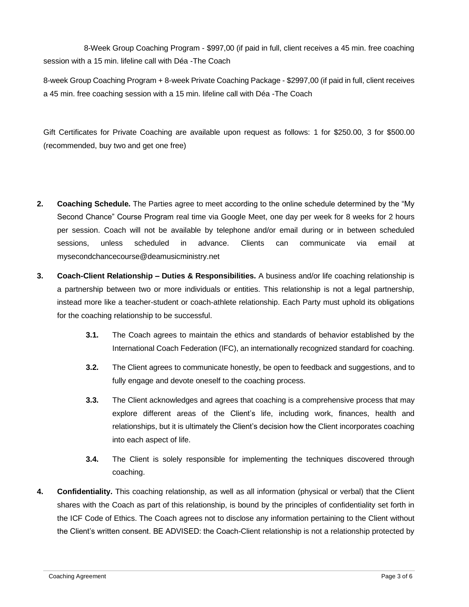8-Week Group Coaching Program - \$997,00 (if paid in full, client receives a 45 min. free coaching session with a 15 min. lifeline call with Déa -The Coach

8-week Group Coaching Program + 8-week Private Coaching Package - \$2997,00 (if paid in full, client receives a 45 min. free coaching session with a 15 min. lifeline call with Déa -The Coach

Gift Certificates for Private Coaching are available upon request as follows: 1 for \$250.00, 3 for \$500.00 (recommended, buy two and get one free)

- **2. Coaching Schedule.** The Parties agree to meet according to the online schedule determined by the "My Second Chance" Course Program real time via Google Meet, one day per week for 8 weeks for 2 hours per session. Coach will not be available by telephone and/or email during or in between scheduled sessions, unless scheduled in advance. Clients can communicate via email at mysecondchancecourse@deamusicministry.net
- **3. Coach-Client Relationship – Duties & Responsibilities.** A business and/or life coaching relationship is a partnership between two or more individuals or entities. This relationship is not a legal partnership, instead more like a teacher-student or coach-athlete relationship. Each Party must uphold its obligations for the coaching relationship to be successful.
	- **3.1.** The Coach agrees to maintain the ethics and standards of behavior established by the International Coach Federation (IFC), an internationally recognized standard for coaching.
	- **3.2.** The Client agrees to communicate honestly, be open to feedback and suggestions, and to fully engage and devote oneself to the coaching process.
	- **3.3.** The Client acknowledges and agrees that coaching is a comprehensive process that may explore different areas of the Client's life, including work, finances, health and relationships, but it is ultimately the Client's decision how the Client incorporates coaching into each aspect of life.
	- **3.4.** The Client is solely responsible for implementing the techniques discovered through coaching.
- **4. Confidentiality.** This coaching relationship, as well as all information (physical or verbal) that the Client shares with the Coach as part of this relationship, is bound by the principles of confidentiality set forth in the ICF Code of Ethics. The Coach agrees not to disclose any information pertaining to the Client without the Client's written consent. BE ADVISED: the Coach-Client relationship is not a relationship protected by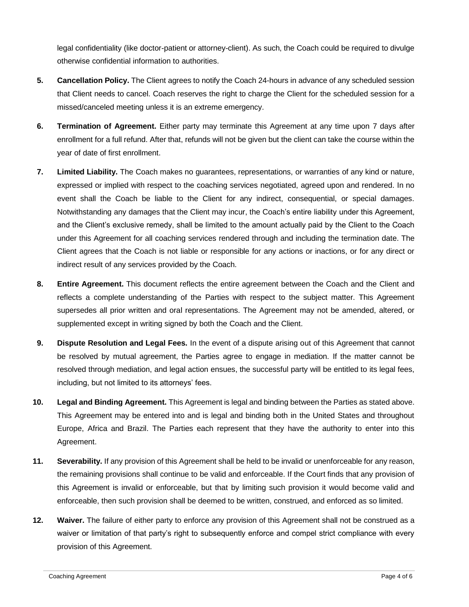legal confidentiality (like doctor-patient or attorney-client). As such, the Coach could be required to divulge otherwise confidential information to authorities.

- **5. Cancellation Policy.** The Client agrees to notify the Coach 24-hours in advance of any scheduled session that Client needs to cancel. Coach reserves the right to charge the Client for the scheduled session for a missed/canceled meeting unless it is an extreme emergency.
- **6. Termination of Agreement.** Either party may terminate this Agreement at any time upon 7 days after enrollment for a full refund. After that, refunds will not be given but the client can take the course within the year of date of first enrollment.
- **7. Limited Liability.** The Coach makes no guarantees, representations, or warranties of any kind or nature, expressed or implied with respect to the coaching services negotiated, agreed upon and rendered. In no event shall the Coach be liable to the Client for any indirect, consequential, or special damages. Notwithstanding any damages that the Client may incur, the Coach's entire liability under this Agreement, and the Client's exclusive remedy, shall be limited to the amount actually paid by the Client to the Coach under this Agreement for all coaching services rendered through and including the termination date. The Client agrees that the Coach is not liable or responsible for any actions or inactions, or for any direct or indirect result of any services provided by the Coach.
- **8. Entire Agreement.** This document reflects the entire agreement between the Coach and the Client and reflects a complete understanding of the Parties with respect to the subject matter. This Agreement supersedes all prior written and oral representations. The Agreement may not be amended, altered, or supplemented except in writing signed by both the Coach and the Client.
- **9. Dispute Resolution and Legal Fees.** In the event of a dispute arising out of this Agreement that cannot be resolved by mutual agreement, the Parties agree to engage in mediation. If the matter cannot be resolved through mediation, and legal action ensues, the successful party will be entitled to its legal fees, including, but not limited to its attorneys' fees.
- **10. Legal and Binding Agreement.** This Agreement is legal and binding between the Parties as stated above. This Agreement may be entered into and is legal and binding both in the United States and throughout Europe, Africa and Brazil. The Parties each represent that they have the authority to enter into this Agreement.
- **11. Severability.** If any provision of this Agreement shall be held to be invalid or unenforceable for any reason, the remaining provisions shall continue to be valid and enforceable. If the Court finds that any provision of this Agreement is invalid or enforceable, but that by limiting such provision it would become valid and enforceable, then such provision shall be deemed to be written, construed, and enforced as so limited.
- **12. Waiver.** The failure of either party to enforce any provision of this Agreement shall not be construed as a waiver or limitation of that party's right to subsequently enforce and compel strict compliance with every provision of this Agreement.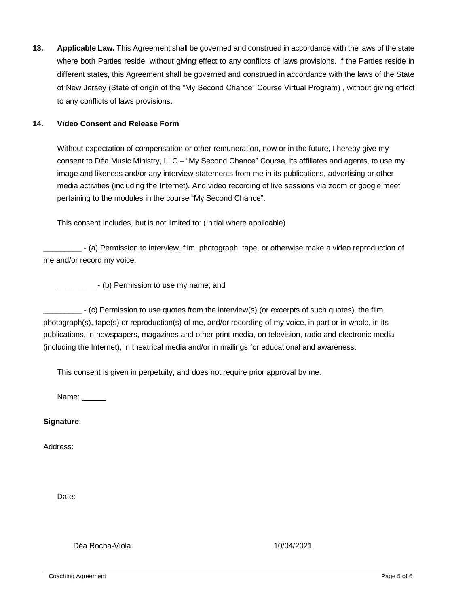**13. Applicable Law.** This Agreement shall be governed and construed in accordance with the laws of the state where both Parties reside, without giving effect to any conflicts of laws provisions. If the Parties reside in different states, this Agreement shall be governed and construed in accordance with the laws of the State of New Jersey (State of origin of the "My Second Chance" Course Virtual Program) , without giving effect to any conflicts of laws provisions.

#### **14. Video Consent and Release Form**

Without expectation of compensation or other remuneration, now or in the future, I hereby give my consent to Déa Music Ministry, LLC – "My Second Chance" Course, its affiliates and agents, to use my image and likeness and/or any interview statements from me in its publications, advertising or other media activities (including the Internet). And video recording of live sessions via zoom or google meet pertaining to the modules in the course "My Second Chance".

This consent includes, but is not limited to: (Initial where applicable)

\_\_\_\_\_\_\_\_\_ - (a) Permission to interview, film, photograph, tape, or otherwise make a video reproduction of me and/or record my voice;

\_\_\_\_\_\_\_\_\_\_\_\_\_\_\_\_\_ - (b) Permission to use my name; and

\_\_\_\_\_\_\_\_\_ - (c) Permission to use quotes from the interview(s) (or excerpts of such quotes), the film, photograph(s), tape(s) or reproduction(s) of me, and/or recording of my voice, in part or in whole, in its publications, in newspapers, magazines and other print media, on television, radio and electronic media (including the Internet), in theatrical media and/or in mailings for educational and awareness.

This consent is given in perpetuity, and does not require prior approval by me.

Name:

**Signature**:

Address:

Date:

Déa Rocha-Viola 10/04/2021